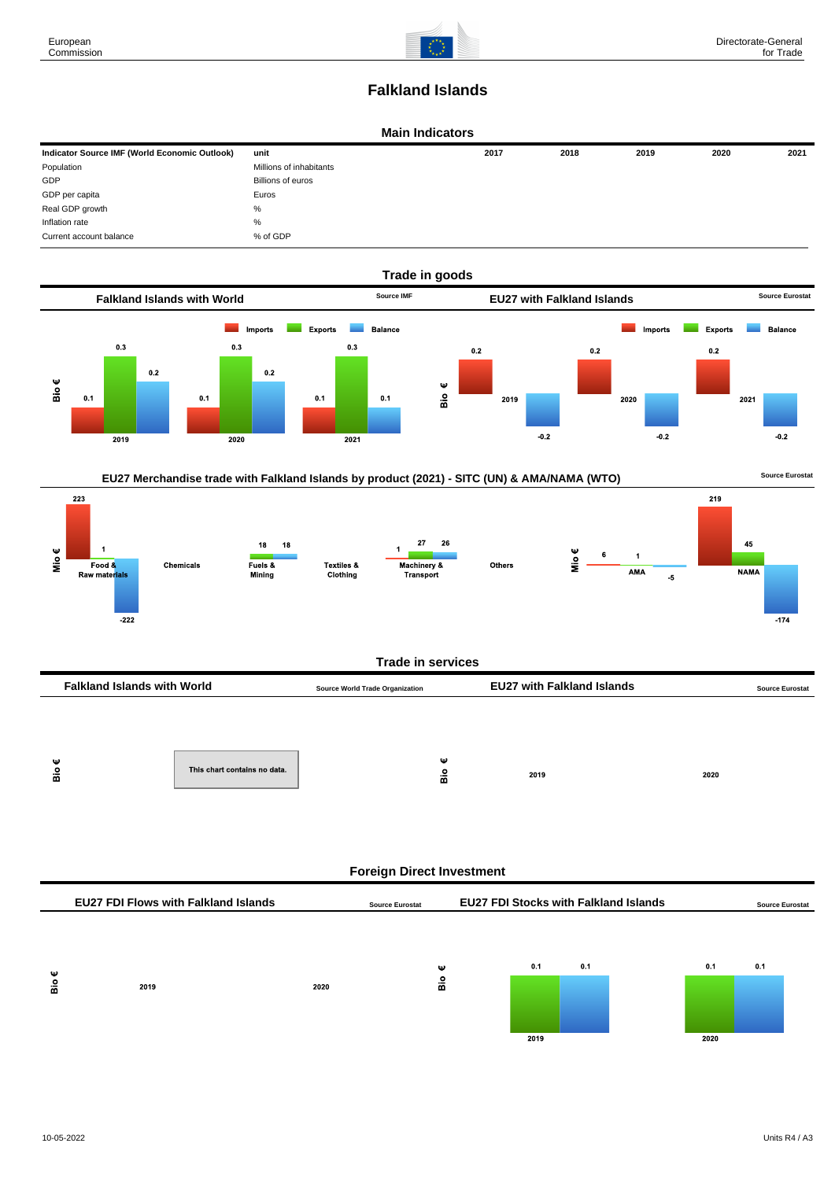

# **Falkland Islands**

### **Main Indicators**

| Indicator Source IMF (World Economic Outlook) | unit                    | 2017 | 2018 | 2019 | 2020 | 2021 |
|-----------------------------------------------|-------------------------|------|------|------|------|------|
| Population                                    | Millions of inhabitants |      |      |      |      |      |
| GDP                                           | Billions of euros       |      |      |      |      |      |
| GDP per capita                                | Euros                   |      |      |      |      |      |
| Real GDP growth                               | %                       |      |      |      |      |      |
| Inflation rate                                | $\%$                    |      |      |      |      |      |
| Current account balance                       | % of GDP                |      |      |      |      |      |





| <b>Falkland Islands with World</b> | <b>Source World Trade Organization</b> |  | <b>EU27 with Falkland Islands</b> |      | <b>Source Eurostat</b> |  |
|------------------------------------|----------------------------------------|--|-----------------------------------|------|------------------------|--|
|                                    |                                        |  |                                   |      |                        |  |
|                                    |                                        |  |                                   |      |                        |  |
| ѡ<br>å                             | This chart contains no data.           |  | w<br>å                            | 2019 | 2020                   |  |

| <b>Foreign Direct Investment</b> |                                             |      |                        |          |  |             |     |                                              |             |     |                        |
|----------------------------------|---------------------------------------------|------|------------------------|----------|--|-------------|-----|----------------------------------------------|-------------|-----|------------------------|
|                                  | <b>EU27 FDI Flows with Falkland Islands</b> |      | <b>Source Eurostat</b> |          |  |             |     | <b>EU27 FDI Stocks with Falkland Islands</b> |             |     | <b>Source Eurostat</b> |
| Ψ<br>Bio                         | 2019                                        | 2020 |                        | Ψ<br>Вiо |  | 0.1<br>2019 | 0.1 |                                              | 0.1<br>2020 | 0.1 |                        |